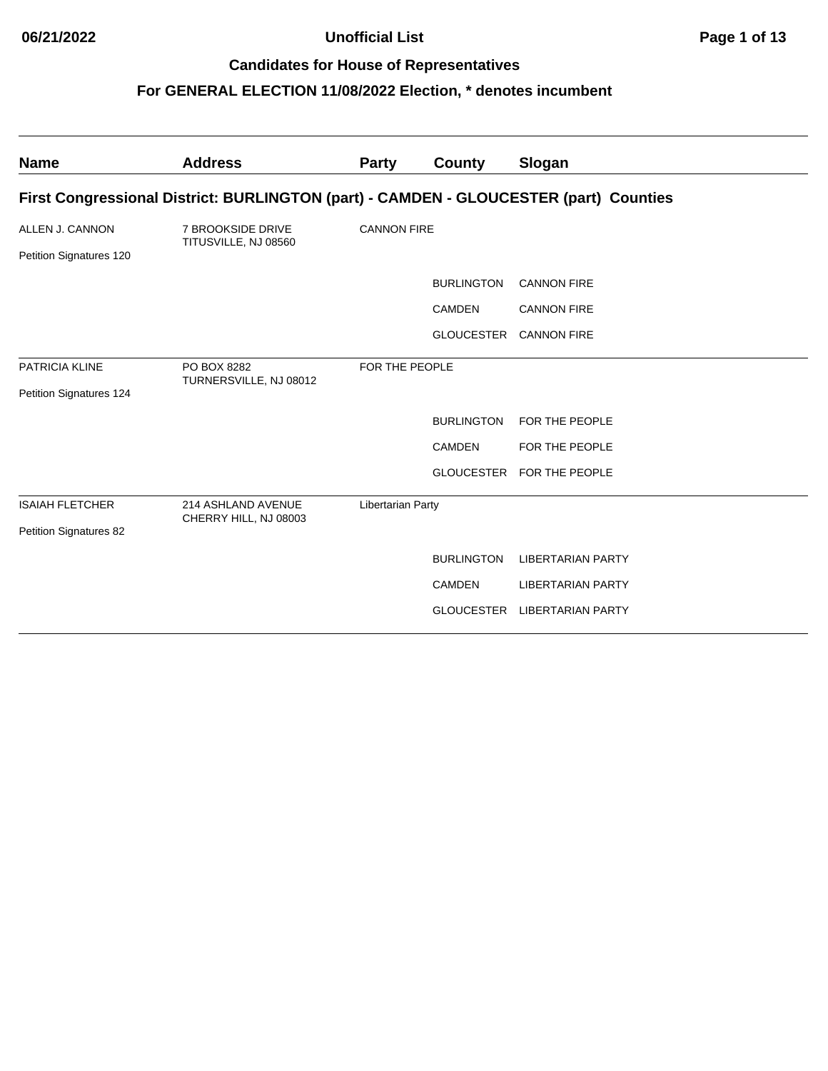# **06/21/2022 Unofficial List Page 1 of 13**

### **Candidates for House of Representatives**

| <b>Name</b>             | <b>Address</b>                                                                        | Party                    | County            | Slogan                       |  |  |
|-------------------------|---------------------------------------------------------------------------------------|--------------------------|-------------------|------------------------------|--|--|
|                         | First Congressional District: BURLINGTON (part) - CAMDEN - GLOUCESTER (part) Counties |                          |                   |                              |  |  |
| ALLEN J. CANNON         | 7 BROOKSIDE DRIVE<br>TITUSVILLE, NJ 08560                                             | <b>CANNON FIRE</b>       |                   |                              |  |  |
| Petition Signatures 120 |                                                                                       |                          |                   |                              |  |  |
|                         |                                                                                       |                          | <b>BURLINGTON</b> | <b>CANNON FIRE</b>           |  |  |
|                         |                                                                                       |                          | <b>CAMDEN</b>     | <b>CANNON FIRE</b>           |  |  |
|                         |                                                                                       |                          |                   | GLOUCESTER CANNON FIRE       |  |  |
| PATRICIA KLINE          | PO BOX 8282<br>TURNERSVILLE, NJ 08012                                                 | FOR THE PEOPLE           |                   |                              |  |  |
| Petition Signatures 124 |                                                                                       |                          |                   |                              |  |  |
|                         |                                                                                       |                          | <b>BURLINGTON</b> | FOR THE PEOPLE               |  |  |
|                         |                                                                                       |                          | <b>CAMDEN</b>     | FOR THE PEOPLE               |  |  |
|                         |                                                                                       |                          | <b>GLOUCESTER</b> | FOR THE PEOPLE               |  |  |
| <b>ISAIAH FLETCHER</b>  | 214 ASHLAND AVENUE<br>CHERRY HILL, NJ 08003                                           | <b>Libertarian Party</b> |                   |                              |  |  |
| Petition Signatures 82  |                                                                                       |                          |                   |                              |  |  |
|                         |                                                                                       |                          | <b>BURLINGTON</b> | <b>LIBERTARIAN PARTY</b>     |  |  |
|                         |                                                                                       |                          | <b>CAMDEN</b>     | <b>LIBERTARIAN PARTY</b>     |  |  |
|                         |                                                                                       |                          |                   | GLOUCESTER LIBERTARIAN PARTY |  |  |
|                         |                                                                                       |                          |                   |                              |  |  |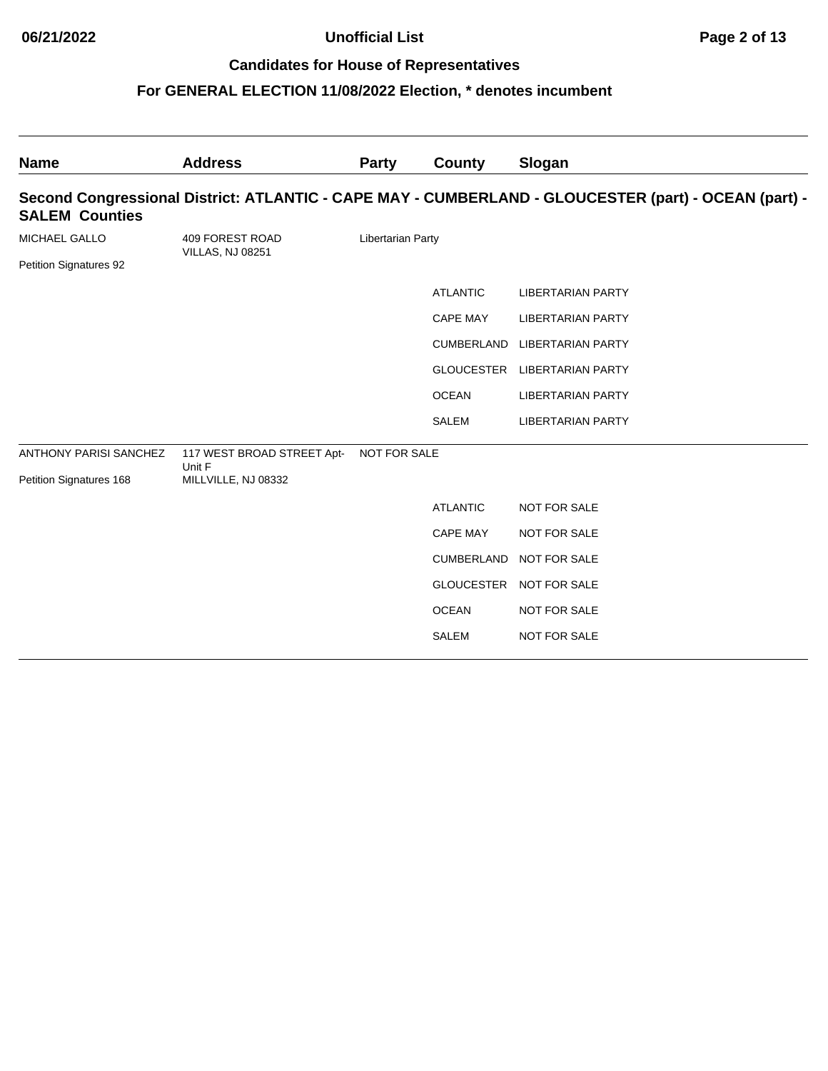| <b>Name</b>             | <b>Address</b>                             | Party             | County            | Slogan                                                                                               |
|-------------------------|--------------------------------------------|-------------------|-------------------|------------------------------------------------------------------------------------------------------|
| <b>SALEM Counties</b>   |                                            |                   |                   | Second Congressional District: ATLANTIC - CAPE MAY - CUMBERLAND - GLOUCESTER (part) - OCEAN (part) - |
| MICHAEL GALLO           | 409 FOREST ROAD<br><b>VILLAS, NJ 08251</b> | Libertarian Party |                   |                                                                                                      |
| Petition Signatures 92  |                                            |                   |                   |                                                                                                      |
|                         |                                            |                   | <b>ATLANTIC</b>   | <b>LIBERTARIAN PARTY</b>                                                                             |
|                         |                                            |                   | <b>CAPE MAY</b>   | <b>LIBERTARIAN PARTY</b>                                                                             |
|                         |                                            |                   |                   | CUMBERLAND LIBERTARIAN PARTY                                                                         |
|                         |                                            |                   | GLOUCESTER        | <b>LIBERTARIAN PARTY</b>                                                                             |
|                         |                                            |                   | <b>OCEAN</b>      | <b>LIBERTARIAN PARTY</b>                                                                             |
|                         |                                            |                   | SALEM             | <b>LIBERTARIAN PARTY</b>                                                                             |
| ANTHONY PARISI SANCHEZ  | 117 WEST BROAD STREET Apt-<br>Unit F       | NOT FOR SALE      |                   |                                                                                                      |
| Petition Signatures 168 | MILLVILLE, NJ 08332                        |                   |                   |                                                                                                      |
|                         |                                            |                   | <b>ATLANTIC</b>   | <b>NOT FOR SALE</b>                                                                                  |
|                         |                                            |                   | <b>CAPE MAY</b>   | <b>NOT FOR SALE</b>                                                                                  |
|                         |                                            |                   | CUMBERLAND        | <b>NOT FOR SALE</b>                                                                                  |
|                         |                                            |                   | <b>GLOUCESTER</b> | <b>NOT FOR SALE</b>                                                                                  |
|                         |                                            |                   | <b>OCEAN</b>      | <b>NOT FOR SALE</b>                                                                                  |
|                         |                                            |                   | <b>SALEM</b>      | <b>NOT FOR SALE</b>                                                                                  |
|                         |                                            |                   |                   |                                                                                                      |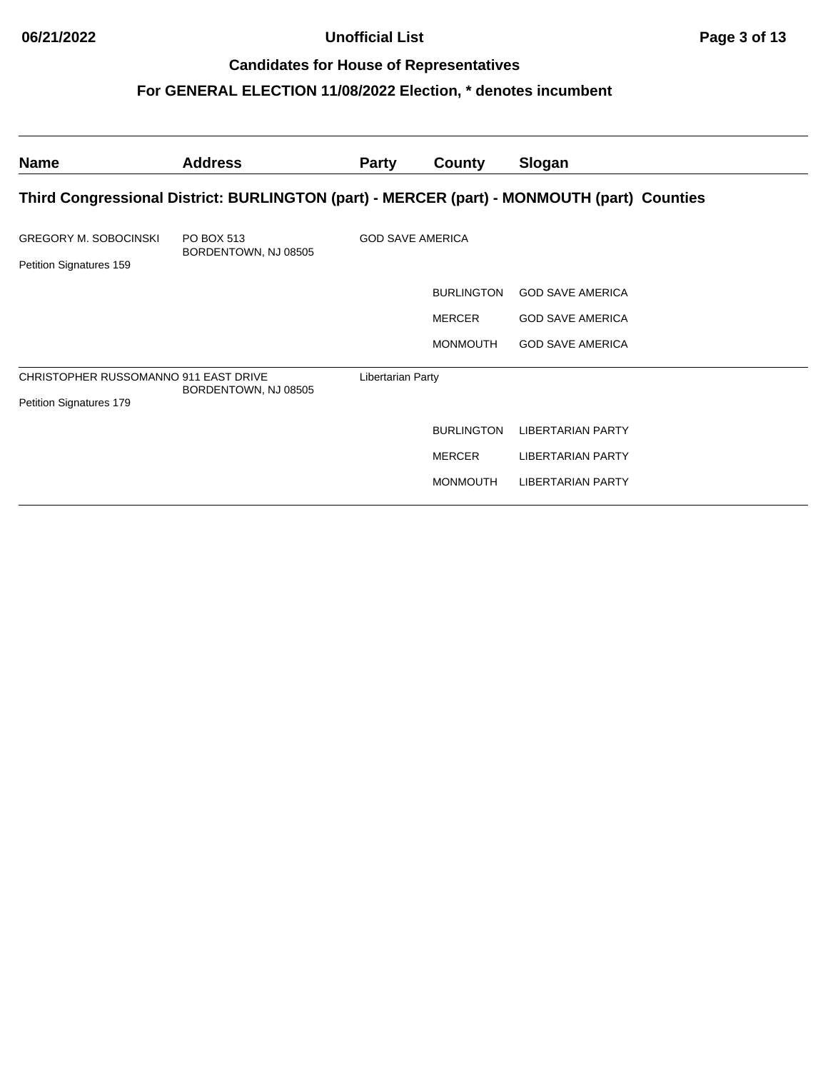# **06/21/2022 Unofficial List Page 3 of 13**

### **Candidates for House of Representatives**

| <b>Name</b>                                                      | <b>Address</b>                     | <b>Party</b>            | County            | Slogan                                                                                     |
|------------------------------------------------------------------|------------------------------------|-------------------------|-------------------|--------------------------------------------------------------------------------------------|
|                                                                  |                                    |                         |                   | Third Congressional District: BURLINGTON (part) - MERCER (part) - MONMOUTH (part) Counties |
| <b>GREGORY M. SOBOCINSKI</b><br>Petition Signatures 159          | PO BOX 513<br>BORDENTOWN, NJ 08505 | <b>GOD SAVE AMERICA</b> |                   |                                                                                            |
|                                                                  |                                    |                         | <b>BURLINGTON</b> | <b>GOD SAVE AMERICA</b>                                                                    |
|                                                                  |                                    |                         | <b>MERCER</b>     | <b>GOD SAVE AMERICA</b>                                                                    |
|                                                                  |                                    |                         | <b>MONMOUTH</b>   | <b>GOD SAVE AMERICA</b>                                                                    |
| CHRISTOPHER RUSSOMANNO 911 EAST DRIVE<br>Petition Signatures 179 | BORDENTOWN, NJ 08505               | Libertarian Party       |                   |                                                                                            |
|                                                                  |                                    |                         | <b>BURLINGTON</b> | <b>LIBERTARIAN PARTY</b>                                                                   |
|                                                                  |                                    |                         | <b>MERCER</b>     | <b>LIBERTARIAN PARTY</b>                                                                   |
|                                                                  |                                    |                         | <b>MONMOUTH</b>   | <b>LIBERTARIAN PARTY</b>                                                                   |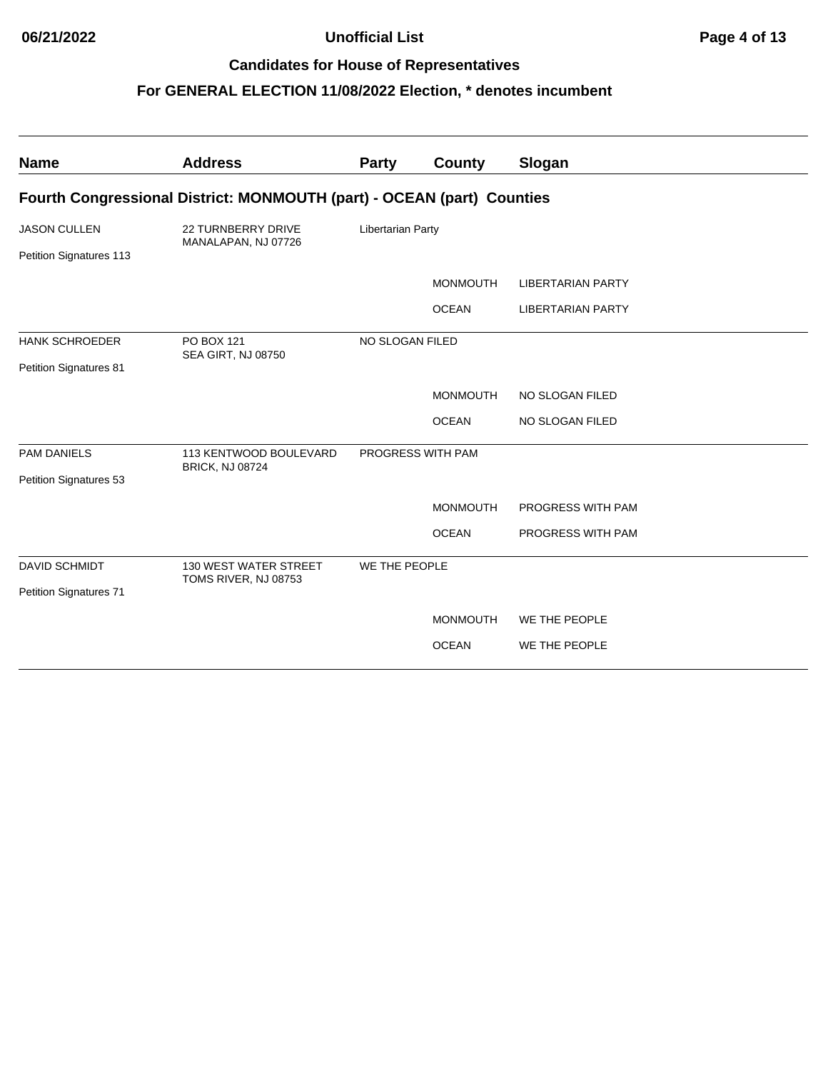# **06/21/2022 Unofficial List Page 4 of 13**

### **Candidates for House of Representatives**

| <b>Name</b>                   | <b>Address</b>                                                         | <b>Party</b>      | <b>County</b>   | Slogan                   |  |  |
|-------------------------------|------------------------------------------------------------------------|-------------------|-----------------|--------------------------|--|--|
|                               | Fourth Congressional District: MONMOUTH (part) - OCEAN (part) Counties |                   |                 |                          |  |  |
| <b>JASON CULLEN</b>           | <b>22 TURNBERRY DRIVE</b>                                              | Libertarian Party |                 |                          |  |  |
| Petition Signatures 113       | MANALAPAN, NJ 07726                                                    |                   |                 |                          |  |  |
|                               |                                                                        |                   | <b>MONMOUTH</b> | <b>LIBERTARIAN PARTY</b> |  |  |
|                               |                                                                        |                   | <b>OCEAN</b>    | <b>LIBERTARIAN PARTY</b> |  |  |
| <b>HANK SCHROEDER</b>         | PO BOX 121<br><b>SEA GIRT, NJ 08750</b>                                | NO SLOGAN FILED   |                 |                          |  |  |
| Petition Signatures 81        |                                                                        |                   |                 |                          |  |  |
|                               |                                                                        |                   | <b>MONMOUTH</b> | NO SLOGAN FILED          |  |  |
|                               |                                                                        |                   | <b>OCEAN</b>    | NO SLOGAN FILED          |  |  |
| <b>PAM DANIELS</b>            | 113 KENTWOOD BOULEVARD<br><b>BRICK, NJ 08724</b>                       | PROGRESS WITH PAM |                 |                          |  |  |
| Petition Signatures 53        |                                                                        |                   |                 |                          |  |  |
|                               |                                                                        |                   | <b>MONMOUTH</b> | PROGRESS WITH PAM        |  |  |
|                               |                                                                        |                   | <b>OCEAN</b>    | PROGRESS WITH PAM        |  |  |
| <b>DAVID SCHMIDT</b>          | 130 WEST WATER STREET<br>TOMS RIVER, NJ 08753                          | WE THE PEOPLE     |                 |                          |  |  |
| <b>Petition Signatures 71</b> |                                                                        |                   |                 |                          |  |  |
|                               |                                                                        |                   | <b>MONMOUTH</b> | WE THE PEOPLE            |  |  |
|                               |                                                                        |                   | <b>OCEAN</b>    | WE THE PEOPLE            |  |  |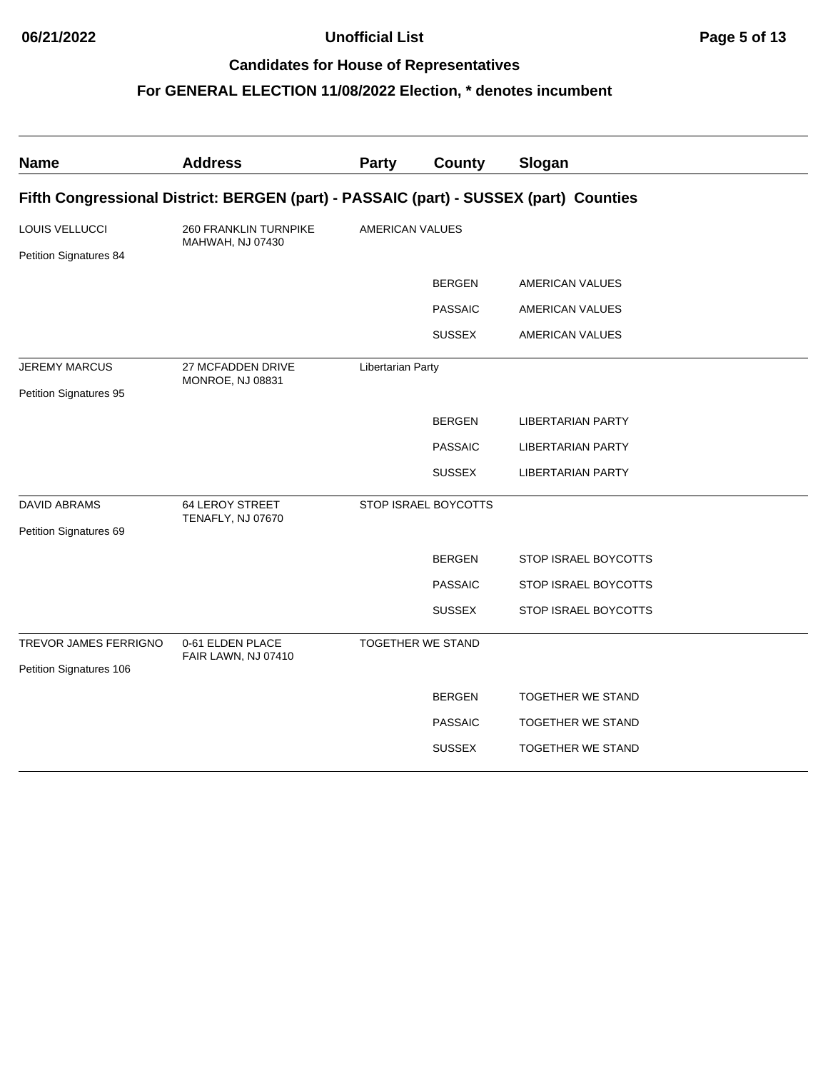# **06/21/2022 Unofficial List Page 5 of 13**

### **Candidates for House of Representatives**

| <b>Name</b>                  | <b>Address</b>                                                                        | Party             | County               | Slogan                   |  |
|------------------------------|---------------------------------------------------------------------------------------|-------------------|----------------------|--------------------------|--|
|                              | Fifth Congressional District: BERGEN (part) - PASSAIC (part) - SUSSEX (part) Counties |                   |                      |                          |  |
| LOUIS VELLUCCI               | <b>260 FRANKLIN TURNPIKE</b>                                                          |                   | AMERICAN VALUES      |                          |  |
| Petition Signatures 84       | MAHWAH, NJ 07430                                                                      |                   |                      |                          |  |
|                              |                                                                                       |                   | <b>BERGEN</b>        | AMERICAN VALUES          |  |
|                              |                                                                                       |                   | <b>PASSAIC</b>       | AMERICAN VALUES          |  |
|                              |                                                                                       |                   | <b>SUSSEX</b>        | AMERICAN VALUES          |  |
| <b>JEREMY MARCUS</b>         | 27 MCFADDEN DRIVE<br>MONROE, NJ 08831                                                 | Libertarian Party |                      |                          |  |
| Petition Signatures 95       |                                                                                       |                   |                      |                          |  |
|                              |                                                                                       |                   | <b>BERGEN</b>        | <b>LIBERTARIAN PARTY</b> |  |
|                              |                                                                                       |                   | <b>PASSAIC</b>       | <b>LIBERTARIAN PARTY</b> |  |
|                              |                                                                                       |                   | <b>SUSSEX</b>        | <b>LIBERTARIAN PARTY</b> |  |
| <b>DAVID ABRAMS</b>          | 64 LEROY STREET<br>TENAFLY, NJ 07670                                                  |                   | STOP ISRAEL BOYCOTTS |                          |  |
| Petition Signatures 69       |                                                                                       |                   |                      |                          |  |
|                              |                                                                                       |                   | <b>BERGEN</b>        | STOP ISRAEL BOYCOTTS     |  |
|                              |                                                                                       |                   | <b>PASSAIC</b>       | STOP ISRAEL BOYCOTTS     |  |
|                              |                                                                                       |                   | <b>SUSSEX</b>        | STOP ISRAEL BOYCOTTS     |  |
| <b>TREVOR JAMES FERRIGNO</b> | 0-61 ELDEN PLACE<br>FAIR LAWN, NJ 07410                                               |                   | TOGETHER WE STAND    |                          |  |
| Petition Signatures 106      |                                                                                       |                   |                      |                          |  |
|                              |                                                                                       |                   | <b>BERGEN</b>        | TOGETHER WE STAND        |  |
|                              |                                                                                       |                   | <b>PASSAIC</b>       | TOGETHER WE STAND        |  |
|                              |                                                                                       |                   | <b>SUSSEX</b>        | <b>TOGETHER WE STAND</b> |  |
|                              |                                                                                       |                   |                      |                          |  |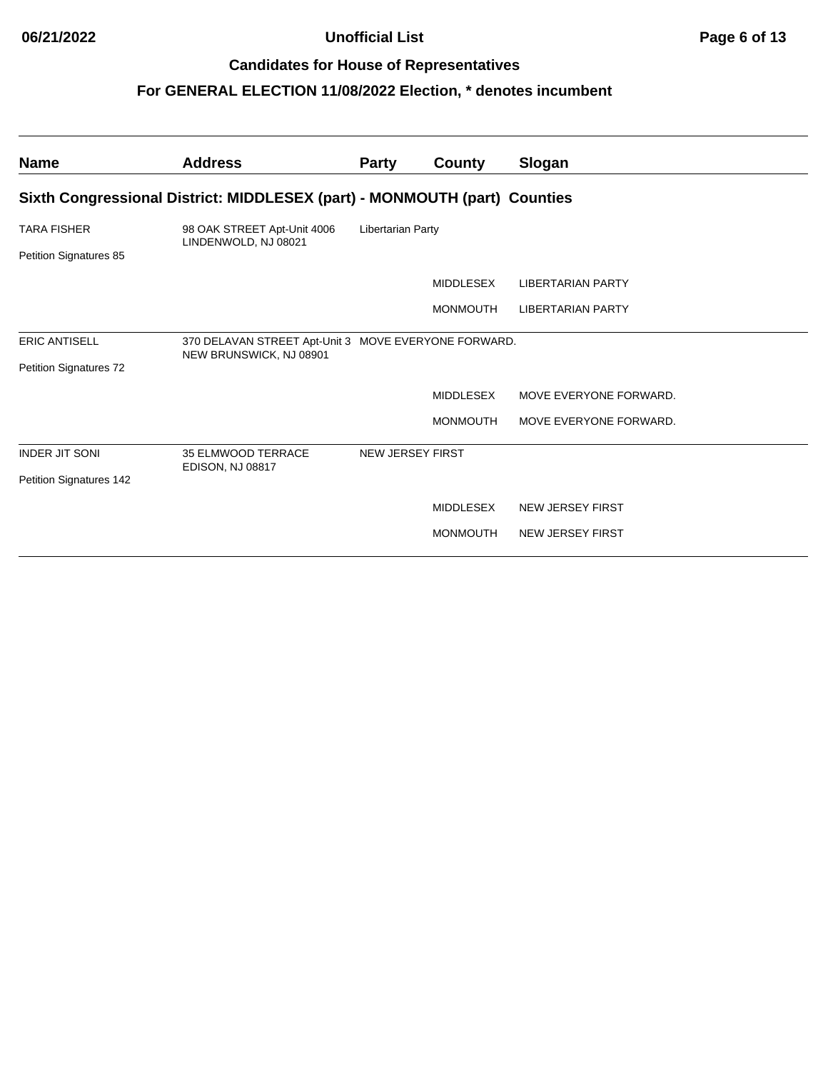# **06/21/2022 Unofficial List Page 6 of 13**

### **Candidates for House of Representatives**

| <b>Name</b>             | <b>Address</b>                                                                  | <b>Party</b>             | County           | Slogan                   |  |  |  |
|-------------------------|---------------------------------------------------------------------------------|--------------------------|------------------|--------------------------|--|--|--|
|                         | Sixth Congressional District: MIDDLESEX (part) - MONMOUTH (part) Counties       |                          |                  |                          |  |  |  |
| <b>TARA FISHER</b>      | 98 OAK STREET Apt-Unit 4006<br>LINDENWOLD, NJ 08021                             | <b>Libertarian Party</b> |                  |                          |  |  |  |
| Petition Signatures 85  |                                                                                 |                          |                  |                          |  |  |  |
|                         |                                                                                 |                          | <b>MIDDLESEX</b> | <b>LIBERTARIAN PARTY</b> |  |  |  |
|                         |                                                                                 |                          | <b>MONMOUTH</b>  | <b>LIBERTARIAN PARTY</b> |  |  |  |
| <b>ERIC ANTISELL</b>    | 370 DELAVAN STREET Apt-Unit 3 MOVE EVERYONE FORWARD.<br>NEW BRUNSWICK, NJ 08901 |                          |                  |                          |  |  |  |
| Petition Signatures 72  |                                                                                 |                          |                  |                          |  |  |  |
|                         |                                                                                 |                          | <b>MIDDLESEX</b> | MOVE EVERYONE FORWARD.   |  |  |  |
|                         |                                                                                 |                          | <b>MONMOUTH</b>  | MOVE EVERYONE FORWARD.   |  |  |  |
| <b>INDER JIT SONI</b>   | 35 ELMWOOD TERRACE<br><b>EDISON, NJ 08817</b>                                   | NEW JERSEY FIRST         |                  |                          |  |  |  |
| Petition Signatures 142 |                                                                                 |                          |                  |                          |  |  |  |
|                         |                                                                                 |                          | <b>MIDDLESEX</b> | <b>NEW JERSEY FIRST</b>  |  |  |  |
|                         |                                                                                 |                          | <b>MONMOUTH</b>  | <b>NEW JERSEY FIRST</b>  |  |  |  |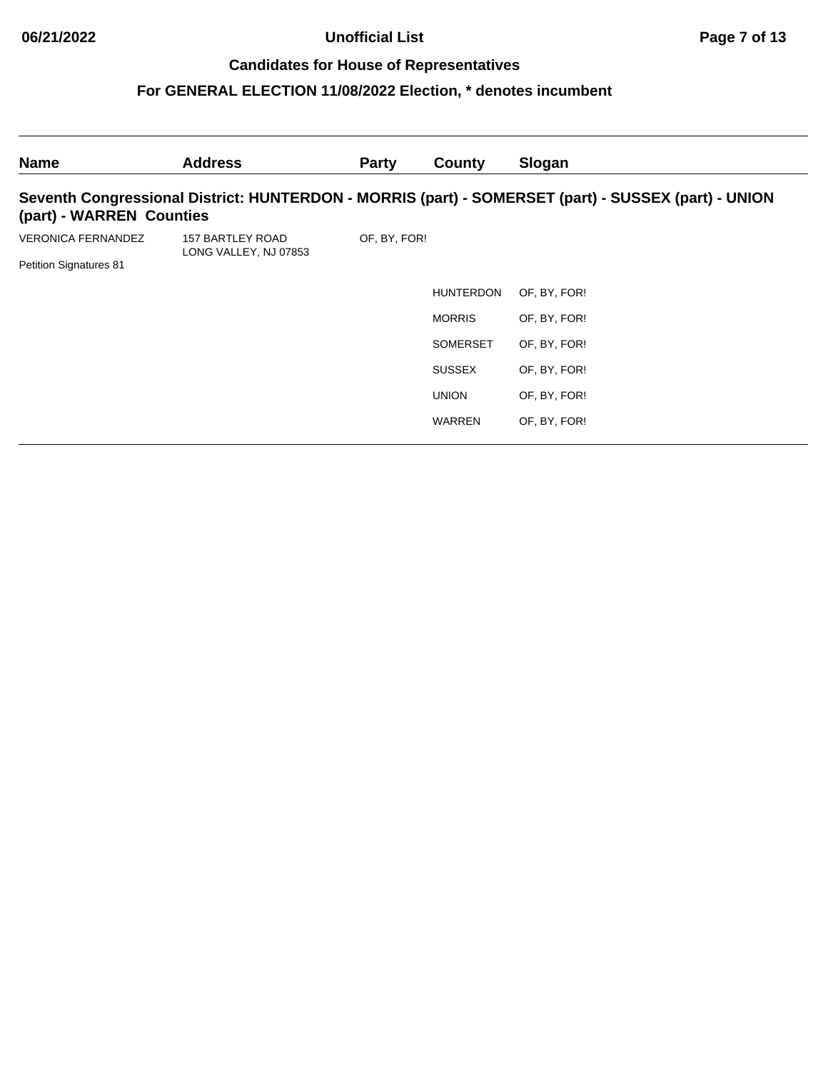| <b>Name</b>               | <b>Address</b>                            | <b>Party</b> | County           | Slogan                                                                                              |
|---------------------------|-------------------------------------------|--------------|------------------|-----------------------------------------------------------------------------------------------------|
| (part) - WARREN Counties  |                                           |              |                  | Seventh Congressional District: HUNTERDON - MORRIS (part) - SOMERSET (part) - SUSSEX (part) - UNION |
| <b>VERONICA FERNANDEZ</b> | 157 BARTLEY ROAD<br>LONG VALLEY, NJ 07853 | OF, BY, FOR! |                  |                                                                                                     |
| Petition Signatures 81    |                                           |              |                  |                                                                                                     |
|                           |                                           |              | <b>HUNTERDON</b> | OF, BY, FOR!                                                                                        |
|                           |                                           |              | <b>MORRIS</b>    | OF, BY, FOR!                                                                                        |
|                           |                                           |              | <b>SOMERSET</b>  | OF, BY, FOR!                                                                                        |
|                           |                                           |              | <b>SUSSEX</b>    | OF, BY, FOR!                                                                                        |
|                           |                                           |              | <b>UNION</b>     | OF, BY, FOR!                                                                                        |
|                           |                                           |              | <b>WARREN</b>    | OF, BY, FOR!                                                                                        |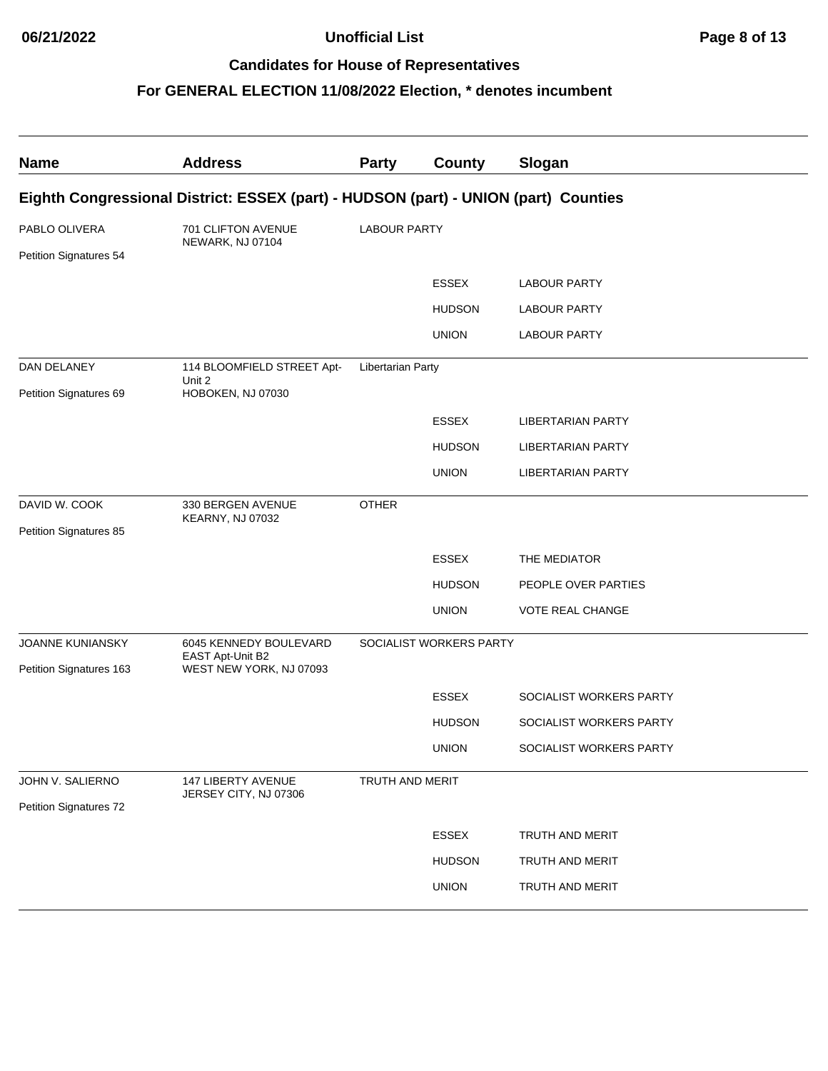# **06/21/2022 Unofficial List Page 8 of 13**

### **Candidates for House of Representatives**

| <b>Address</b>             | <b>Party</b>                                                                                       | County        | Slogan                                                                                                                                                                        |
|----------------------------|----------------------------------------------------------------------------------------------------|---------------|-------------------------------------------------------------------------------------------------------------------------------------------------------------------------------|
|                            |                                                                                                    |               |                                                                                                                                                                               |
| 701 CLIFTON AVENUE         |                                                                                                    |               |                                                                                                                                                                               |
|                            |                                                                                                    |               |                                                                                                                                                                               |
|                            |                                                                                                    | <b>ESSEX</b>  | <b>LABOUR PARTY</b>                                                                                                                                                           |
|                            |                                                                                                    | <b>HUDSON</b> | <b>LABOUR PARTY</b>                                                                                                                                                           |
|                            |                                                                                                    | <b>UNION</b>  | <b>LABOUR PARTY</b>                                                                                                                                                           |
| 114 BLOOMFIELD STREET Apt- |                                                                                                    |               |                                                                                                                                                                               |
| HOBOKEN, NJ 07030          |                                                                                                    |               |                                                                                                                                                                               |
|                            |                                                                                                    | <b>ESSEX</b>  | <b>LIBERTARIAN PARTY</b>                                                                                                                                                      |
|                            |                                                                                                    | <b>HUDSON</b> | <b>LIBERTARIAN PARTY</b>                                                                                                                                                      |
|                            |                                                                                                    | <b>UNION</b>  | <b>LIBERTARIAN PARTY</b>                                                                                                                                                      |
| 330 BERGEN AVENUE          | <b>OTHER</b>                                                                                       |               |                                                                                                                                                                               |
|                            |                                                                                                    |               |                                                                                                                                                                               |
|                            |                                                                                                    | <b>ESSEX</b>  | THE MEDIATOR                                                                                                                                                                  |
|                            |                                                                                                    | <b>HUDSON</b> | PEOPLE OVER PARTIES                                                                                                                                                           |
|                            |                                                                                                    | <b>UNION</b>  | <b>VOTE REAL CHANGE</b>                                                                                                                                                       |
| 6045 KENNEDY BOULEVARD     |                                                                                                    |               |                                                                                                                                                                               |
| WEST NEW YORK, NJ 07093    |                                                                                                    |               |                                                                                                                                                                               |
|                            |                                                                                                    | <b>ESSEX</b>  | SOCIALIST WORKERS PARTY                                                                                                                                                       |
|                            |                                                                                                    | <b>HUDSON</b> | SOCIALIST WORKERS PARTY                                                                                                                                                       |
|                            |                                                                                                    | <b>UNION</b>  | SOCIALIST WORKERS PARTY                                                                                                                                                       |
| 147 LIBERTY AVENUE         |                                                                                                    |               |                                                                                                                                                                               |
|                            |                                                                                                    |               |                                                                                                                                                                               |
|                            |                                                                                                    | <b>ESSEX</b>  | TRUTH AND MERIT                                                                                                                                                               |
|                            |                                                                                                    | <b>HUDSON</b> | TRUTH AND MERIT                                                                                                                                                               |
|                            |                                                                                                    | <b>UNION</b>  | <b>TRUTH AND MERIT</b>                                                                                                                                                        |
|                            | NEWARK, NJ 07104<br>Unit 2<br><b>KEARNY, NJ 07032</b><br>EAST Apt-Unit B2<br>JERSEY CITY, NJ 07306 |               | Eighth Congressional District: ESSEX (part) - HUDSON (part) - UNION (part) Counties<br><b>LABOUR PARTY</b><br>Libertarian Party<br>SOCIALIST WORKERS PARTY<br>TRUTH AND MERIT |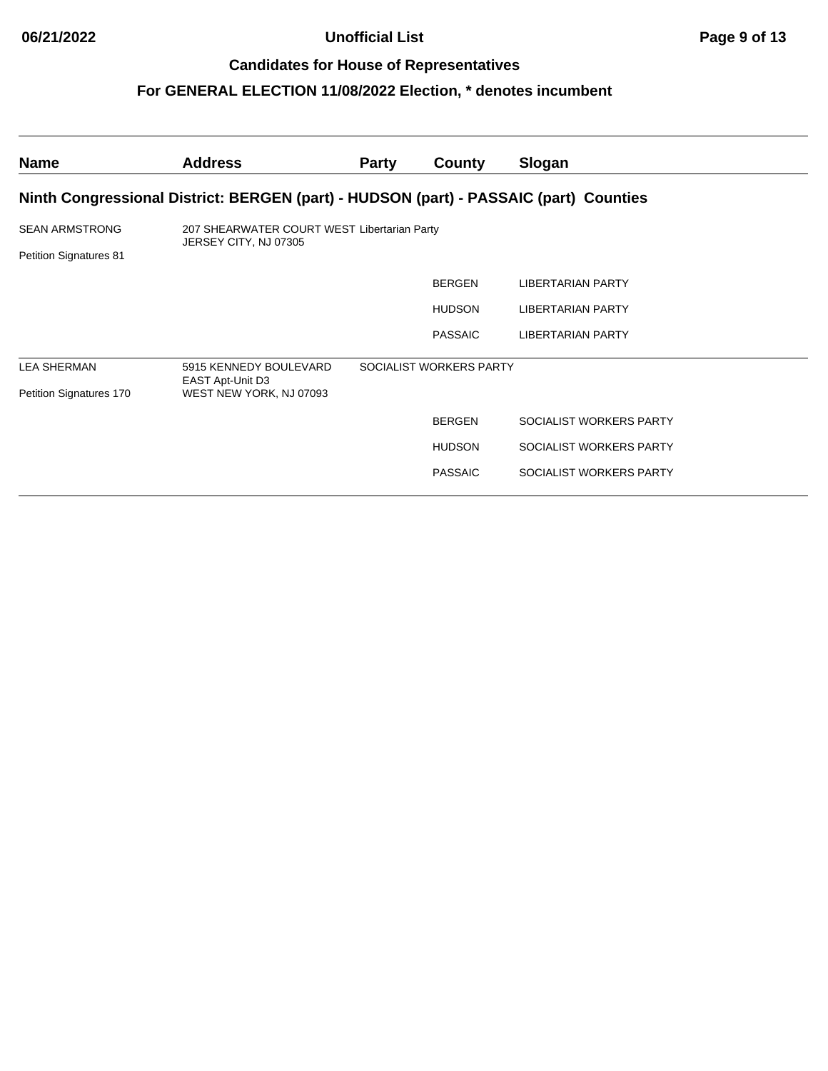# **06/21/2022 Unofficial List Page 9 of 13**

### **Candidates for House of Representatives**

| <b>Name</b>                   | <b>Address</b>                                                                        | <b>Party</b> | County                  | Slogan                   |
|-------------------------------|---------------------------------------------------------------------------------------|--------------|-------------------------|--------------------------|
|                               | Ninth Congressional District: BERGEN (part) - HUDSON (part) - PASSAIC (part) Counties |              |                         |                          |
| <b>SEAN ARMSTRONG</b>         | 207 SHEARWATER COURT WEST Libertarian Party                                           |              |                         |                          |
| <b>Petition Signatures 81</b> | JERSEY CITY, NJ 07305                                                                 |              |                         |                          |
|                               |                                                                                       |              | <b>BERGEN</b>           | <b>LIBERTARIAN PARTY</b> |
|                               |                                                                                       |              | <b>HUDSON</b>           | <b>LIBERTARIAN PARTY</b> |
|                               |                                                                                       |              | <b>PASSAIC</b>          | <b>LIBERTARIAN PARTY</b> |
| <b>LEA SHERMAN</b>            | 5915 KENNEDY BOULEVARD<br>EAST Apt-Unit D3                                            |              | SOCIALIST WORKERS PARTY |                          |
| Petition Signatures 170       | WEST NEW YORK, NJ 07093                                                               |              |                         |                          |
|                               |                                                                                       |              | <b>BERGEN</b>           | SOCIALIST WORKERS PARTY  |
|                               |                                                                                       |              | <b>HUDSON</b>           | SOCIALIST WORKERS PARTY  |
|                               |                                                                                       |              | <b>PASSAIC</b>          | SOCIALIST WORKERS PARTY  |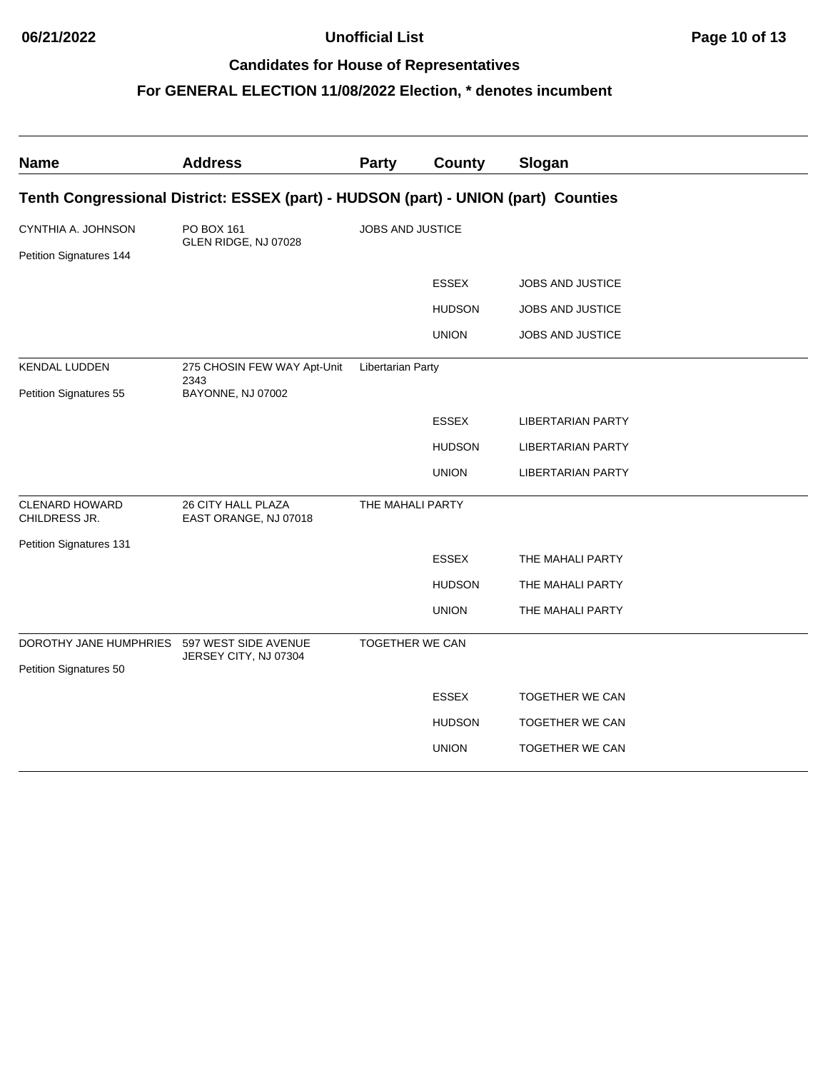# **06/21/2022 Unofficial List Page 10 of 13**

### **Candidates for House of Representatives**

| <b>Name</b>                            | <b>Address</b>                                                                     | Party                   | <b>County</b> | Slogan                   |
|----------------------------------------|------------------------------------------------------------------------------------|-------------------------|---------------|--------------------------|
|                                        | Tenth Congressional District: ESSEX (part) - HUDSON (part) - UNION (part) Counties |                         |               |                          |
| CYNTHIA A. JOHNSON                     | PO BOX 161                                                                         | <b>JOBS AND JUSTICE</b> |               |                          |
| Petition Signatures 144                | GLEN RIDGE, NJ 07028                                                               |                         |               |                          |
|                                        |                                                                                    |                         | <b>ESSEX</b>  | JOBS AND JUSTICE         |
|                                        |                                                                                    |                         | <b>HUDSON</b> | JOBS AND JUSTICE         |
|                                        |                                                                                    |                         | <b>UNION</b>  | <b>JOBS AND JUSTICE</b>  |
| <b>KENDAL LUDDEN</b>                   | 275 CHOSIN FEW WAY Apt-Unit<br>2343                                                | Libertarian Party       |               |                          |
| Petition Signatures 55                 | BAYONNE, NJ 07002                                                                  |                         |               |                          |
|                                        |                                                                                    |                         | <b>ESSEX</b>  | <b>LIBERTARIAN PARTY</b> |
|                                        |                                                                                    |                         | <b>HUDSON</b> | <b>LIBERTARIAN PARTY</b> |
|                                        |                                                                                    |                         | <b>UNION</b>  | <b>LIBERTARIAN PARTY</b> |
| <b>CLENARD HOWARD</b><br>CHILDRESS JR. | 26 CITY HALL PLAZA<br>EAST ORANGE, NJ 07018                                        | THE MAHALI PARTY        |               |                          |
| Petition Signatures 131                |                                                                                    |                         |               |                          |
|                                        |                                                                                    |                         | <b>ESSEX</b>  | THE MAHALI PARTY         |
|                                        |                                                                                    |                         | <b>HUDSON</b> | THE MAHALI PARTY         |
|                                        |                                                                                    |                         | <b>UNION</b>  | THE MAHALI PARTY         |
| DOROTHY JANE HUMPHRIES                 | 597 WEST SIDE AVENUE<br>JERSEY CITY, NJ 07304                                      | TOGETHER WE CAN         |               |                          |
| Petition Signatures 50                 |                                                                                    |                         |               |                          |
|                                        |                                                                                    |                         | <b>ESSEX</b>  | <b>TOGETHER WE CAN</b>   |
|                                        |                                                                                    |                         | <b>HUDSON</b> | <b>TOGETHER WE CAN</b>   |
|                                        |                                                                                    |                         | <b>UNION</b>  | TOGETHER WE CAN          |
|                                        |                                                                                    |                         |               |                          |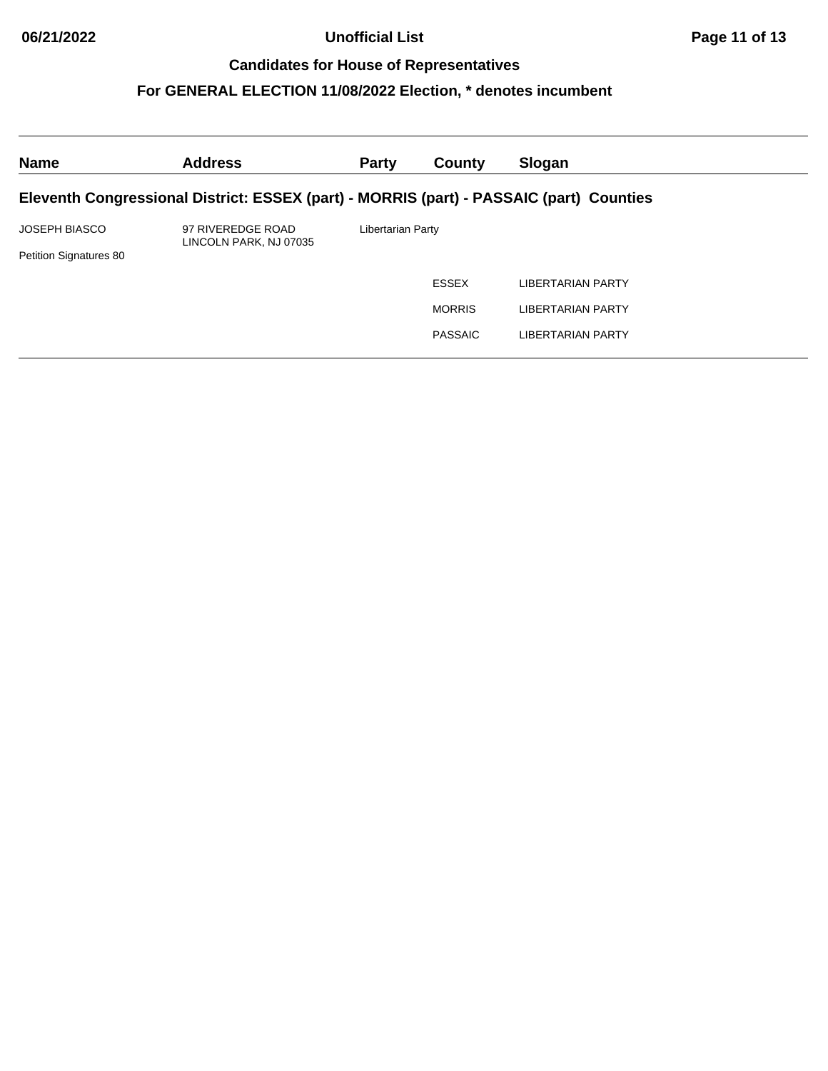| <b>Name</b>            | <b>Address</b>                                                                          | <b>Party</b>      | County         | Slogan                   |
|------------------------|-----------------------------------------------------------------------------------------|-------------------|----------------|--------------------------|
|                        | Eleventh Congressional District: ESSEX (part) - MORRIS (part) - PASSAIC (part) Counties |                   |                |                          |
| <b>JOSEPH BIASCO</b>   | 97 RIVEREDGE ROAD<br>LINCOLN PARK, NJ 07035                                             | Libertarian Party |                |                          |
| Petition Signatures 80 |                                                                                         |                   |                |                          |
|                        |                                                                                         |                   | <b>ESSEX</b>   | <b>LIBERTARIAN PARTY</b> |
|                        |                                                                                         |                   | <b>MORRIS</b>  | <b>LIBERTARIAN PARTY</b> |
|                        |                                                                                         |                   | <b>PASSAIC</b> | <b>LIBERTARIAN PARTY</b> |
|                        |                                                                                         |                   |                |                          |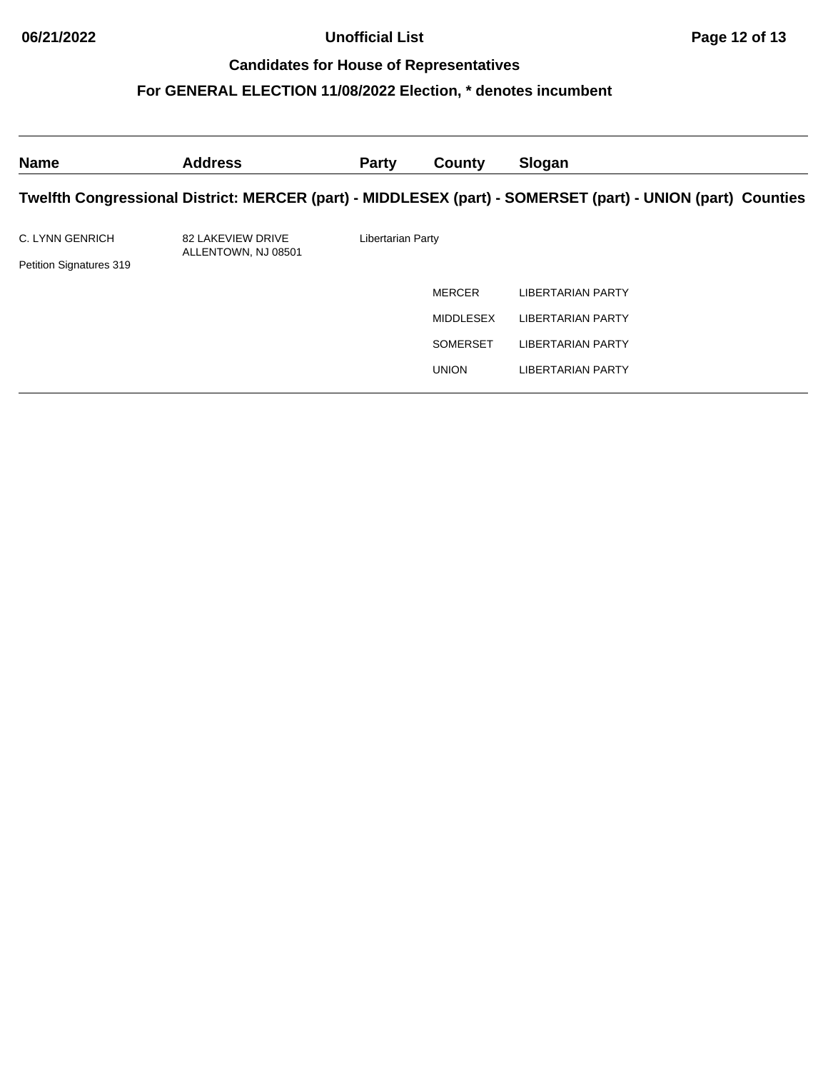| <b>Name</b>             | <b>Address</b>                                  | <b>Party</b>      | County           | Slogan                                                                                                     |
|-------------------------|-------------------------------------------------|-------------------|------------------|------------------------------------------------------------------------------------------------------------|
|                         |                                                 |                   |                  | Twelfth Congressional District: MERCER (part) - MIDDLESEX (part) - SOMERSET (part) - UNION (part) Counties |
| C. LYNN GENRICH         | <b>82 LAKEVIEW DRIVE</b><br>ALLENTOWN, NJ 08501 | Libertarian Party |                  |                                                                                                            |
| Petition Signatures 319 |                                                 |                   |                  |                                                                                                            |
|                         |                                                 |                   | MERCER           | <b>LIBERTARIAN PARTY</b>                                                                                   |
|                         |                                                 |                   | <b>MIDDLESEX</b> | <b>LIBERTARIAN PARTY</b>                                                                                   |
|                         |                                                 |                   | <b>SOMERSET</b>  | <b>LIBERTARIAN PARTY</b>                                                                                   |
|                         |                                                 |                   | <b>UNION</b>     | LIBERTARIAN PARTY                                                                                          |
|                         |                                                 |                   |                  |                                                                                                            |